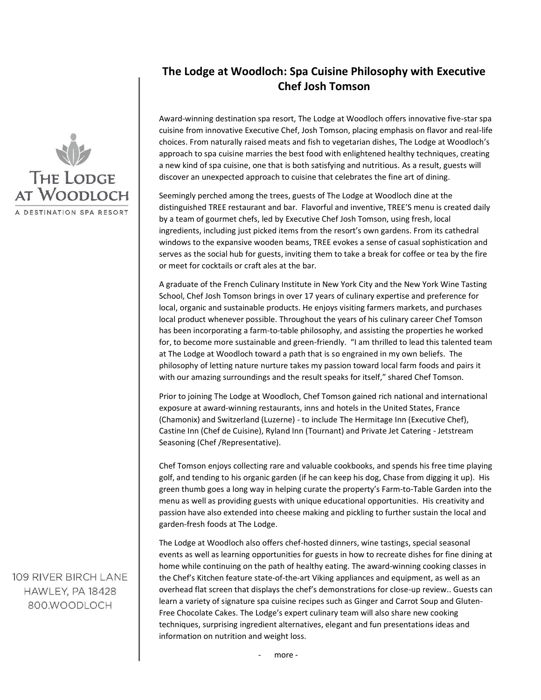

## **The Lodge at Woodloch: Spa Cuisine Philosophy with Executive Chef Josh Tomson**

Award-winning destination spa resort, The Lodge at Woodloch offers innovative five-star spa cuisine from innovative Executive Chef, Josh Tomson, placing emphasis on flavor and real-life choices. From naturally raised meats and fish to vegetarian dishes, The Lodge at Woodloch's approach to spa cuisine marries the best food with enlightened healthy techniques, creating a new kind of spa cuisine, one that is both satisfying and nutritious. As a result, guests will discover an unexpected approach to cuisine that celebrates the fine art of dining.

Seemingly perched among the trees, guests of The Lodge at Woodloch dine at the distinguished TREE restaurant and bar. Flavorful and inventive, TREE'S menu is created daily by a team of gourmet chefs, led by Executive Chef Josh Tomson, using fresh, local ingredients, including just picked items from the resort's own gardens. From its cathedral windows to the expansive wooden beams, TREE evokes a sense of casual sophistication and serves as the social hub for guests, inviting them to take a break for coffee or tea by the fire or meet for cocktails or craft ales at the bar.

A graduate of the French Culinary Institute in New York City and the New York Wine Tasting School, Chef Josh Tomson brings in over 17 years of culinary expertise and preference for local, organic and sustainable products. He enjoys visiting farmers markets, and purchases local product whenever possible. Throughout the years of his culinary career Chef Tomson has been incorporating a farm-to-table philosophy, and assisting the properties he worked for, to become more sustainable and green-friendly. "I am thrilled to lead this talented team at The Lodge at Woodloch toward a path that is so engrained in my own beliefs. The philosophy of letting nature nurture takes my passion toward local farm foods and pairs it with our amazing surroundings and the result speaks for itself," shared Chef Tomson.

Prior to joining The Lodge at Woodloch, Chef Tomson gained rich national and international exposure at award-winning restaurants, inns and hotels in the United States, France (Chamonix) and Switzerland (Luzerne) - to include The Hermitage Inn (Executive Chef), Castine Inn (Chef de Cuisine), Ryland Inn (Tournant) and Private Jet Catering - Jetstream Seasoning (Chef /Representative).

Chef Tomson enjoys collecting rare and valuable cookbooks, and spends his free time playing golf, and tending to his organic garden (if he can keep his dog, Chase from digging it up). His green thumb goes a long way in helping curate the property's Farm-to-Table Garden into the menu as well as providing guests with unique educational opportunities. His creativity and passion have also extended into cheese making and pickling to further sustain the local and garden-fresh foods at The Lodge.

The Lodge at Woodloch also offers chef-hosted dinners, wine tastings, special seasonal events as well as learning opportunities for guests in how to recreate dishes for fine dining at home while continuing on the path of healthy eating. The award-winning cooking classes in the Chef's Kitchen feature state-of-the-art Viking appliances and equipment, as well as an overhead flat screen that displays the chef's demonstrations for close-up review.. Guests can learn a variety of signature spa cuisine recipes such as Ginger and Carrot Soup and Gluten-Free Chocolate Cakes. The Lodge's expert culinary team will also share new cooking techniques, surprising ingredient alternatives, elegant and fun presentations ideas and information on nutrition and weight loss.

109 RIVER BIRCH LANE HAWLEY, PA 18428 800.WOODLOCH